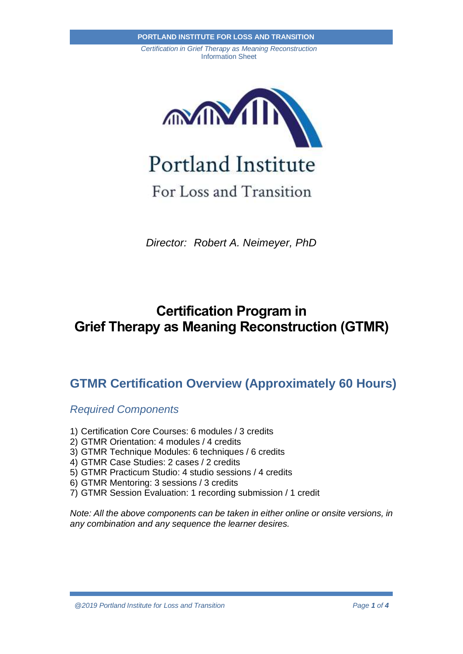

For Loss and Transition

*Director: Robert A. Neimeyer, PhD*

# **Certification Program in Grief Therapy as Meaning Reconstruction (GTMR)**

### **GTMR Certification Overview (Approximately 60 Hours)**

*Required Components*

- 1) Certification Core Courses: 6 modules / 3 credits
- 2) GTMR Orientation: 4 modules / 4 credits
- 3) GTMR Technique Modules: 6 techniques / 6 credits
- 4) GTMR Case Studies: 2 cases / 2 credits
- 5) GTMR Practicum Studio: 4 studio sessions / 4 credits
- 6) GTMR Mentoring: 3 sessions / 3 credits
- 7) GTMR Session Evaluation: 1 recording submission / 1 credit

*Note: All the above components can be taken in either online or onsite versions, in any combination and any sequence the learner desires.*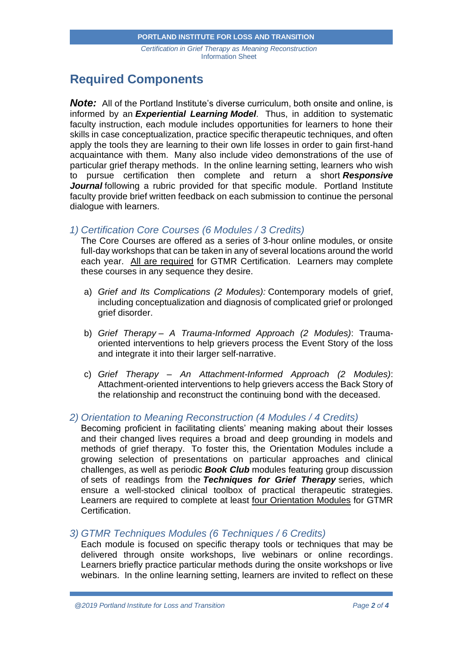### **Required Components**

**Note:** All of the Portland Institute's diverse curriculum, both onsite and online, is informed by an *Experiential Learning Model*. Thus, in addition to systematic faculty instruction, each module includes opportunities for learners to hone their skills in case conceptualization, practice specific therapeutic techniques, and often apply the tools they are learning to their own life losses in order to gain first-hand acquaintance with them. Many also include video demonstrations of the use of particular grief therapy methods. In the online learning setting, learners who wish to pursue certification then complete and return a short *Responsive Journal* following a rubric provided for that specific module. Portland Institute faculty provide brief written feedback on each submission to continue the personal dialogue with learners.

#### *1) Certification Core Courses (6 Modules / 3 Credits)*

The Core Courses are offered as a series of 3-hour online modules, or onsite full-day workshops that can be taken in any of several locations around the world each year. All are required for GTMR Certification. Learners may complete these courses in any sequence they desire.

- a) *Grief and Its Complications (2 Modules):* Contemporary models of grief, including conceptualization and diagnosis of complicated grief or prolonged grief disorder.
- b) *Grief Therapy – A Trauma-Informed Approach (2 Modules)*: Traumaoriented interventions to help grievers process the Event Story of the loss and integrate it into their larger self-narrative.
- c) *Grief Therapy – An Attachment-Informed Approach (2 Modules)*: Attachment-oriented interventions to help grievers access the Back Story of the relationship and reconstruct the continuing bond with the deceased.

#### *2) Orientation to Meaning Reconstruction (4 Modules / 4 Credits)*

Becoming proficient in facilitating clients' meaning making about their losses and their changed lives requires a broad and deep grounding in models and methods of grief therapy. To foster this, the Orientation Modules include a growing selection of presentations on particular approaches and clinical challenges, as well as periodic *Book Club* modules featuring group discussion of sets of readings from the *Techniques for Grief Therapy* series, which ensure a well-stocked clinical toolbox of practical therapeutic strategies. Learners are required to complete at least four Orientation Modules for GTMR Certification.

### *3) GTMR Techniques Modules (6 Techniques / 6 Credits)*

Each module is focused on specific therapy tools or techniques that may be delivered through onsite workshops, live webinars or online recordings. Learners briefly practice particular methods during the onsite workshops or live webinars. In the online learning setting, learners are invited to reflect on these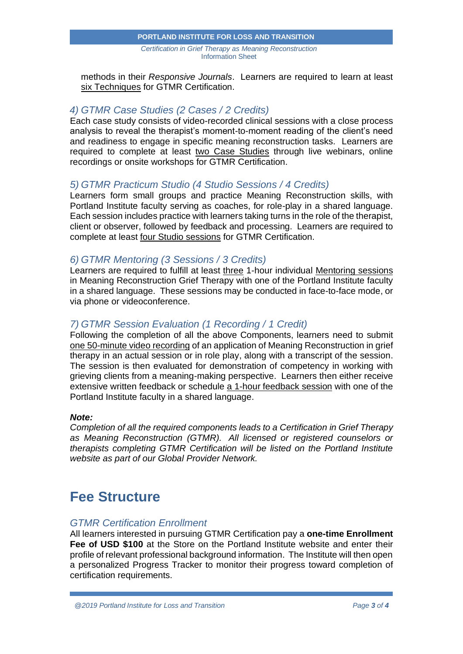#### *Certification in Grief Therapy as Meaning Reconstruction* Information Sheet **PORTLAND INSTITUTE FOR LOSS AND TRANSITION**

methods in their *Responsive Journals*. Learners are required to learn at least six Techniques for GTMR Certification.

#### *4) GTMR Case Studies (2 Cases / 2 Credits)*

Each case study consists of video-recorded clinical sessions with a close process analysis to reveal the therapist's moment-to-moment reading of the client's need and readiness to engage in specific meaning reconstruction tasks. Learners are required to complete at least two Case Studies through live webinars, online recordings or onsite workshops for GTMR Certification.

#### *5) GTMR Practicum Studio (4 Studio Sessions / 4 Credits)*

Learners form small groups and practice Meaning Reconstruction skills, with Portland Institute faculty serving as coaches, for role-play in a shared language. Each session includes practice with learners taking turns in the role of the therapist, client or observer, followed by feedback and processing. Learners are required to complete at least four Studio sessions for GTMR Certification.

#### *6) GTMR Mentoring (3 Sessions / 3 Credits)*

Learners are required to fulfill at least three 1-hour individual Mentoring sessions in Meaning Reconstruction Grief Therapy with one of the Portland Institute faculty in a shared language. These sessions may be conducted in face-to-face mode, or via phone or videoconference.

#### *7) GTMR Session Evaluation (1 Recording / 1 Credit)*

Following the completion of all the above Components, learners need to submit one 50-minute video recording of an application of Meaning Reconstruction in grief therapy in an actual session or in role play, along with a transcript of the session. The session is then evaluated for demonstration of competency in working with grieving clients from a meaning-making perspective. Learners then either receive extensive written feedback or schedule a 1-hour feedback session with one of the Portland Institute faculty in a shared language.

#### *Note:*

*Completion of all the required components leads to a Certification in Grief Therapy as Meaning Reconstruction (GTMR). All licensed or registered counselors or therapists completing GTMR Certification will be listed on the Portland Institute website as part of our Global Provider Network.*

## **Fee Structure**

#### *GTMR Certification Enrollment*

All learners interested in pursuing GTMR Certification pay a **one-time Enrollment Fee of USD \$100** at the Store on the Portland Institute website and enter their profile of relevant professional background information. The Institute will then open a personalized Progress Tracker to monitor their progress toward completion of certification requirements.